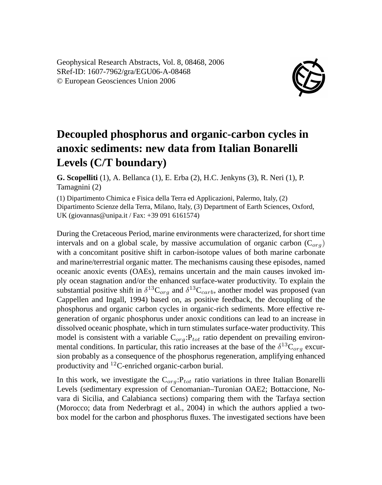Geophysical Research Abstracts, Vol. 8, 08468, 2006 SRef-ID: 1607-7962/gra/EGU06-A-08468 © European Geosciences Union 2006



## **Decoupled phosphorus and organic-carbon cycles in anoxic sediments: new data from Italian Bonarelli Levels (C/T boundary)**

**G. Scopelliti** (1), A. Bellanca (1), E. Erba (2), H.C. Jenkyns (3), R. Neri (1), P. Tamagnini (2)

(1) Dipartimento Chimica e Fisica della Terra ed Applicazioni, Palermo, Italy, (2) Dipartimento Scienze della Terra, Milano, Italy, (3) Department of Earth Sciences, Oxford, UK (giovannas@unipa.it / Fax: +39 091 6161574)

During the Cretaceous Period, marine environments were characterized, for short time intervals and on a global scale, by massive accumulation of organic carbon  $(C_{ora})$ with a concomitant positive shift in carbon-isotope values of both marine carbonate and marine/terrestrial organic matter. The mechanisms causing these episodes, named oceanic anoxic events (OAEs), remains uncertain and the main causes invoked imply ocean stagnation and/or the enhanced surface-water productivity. To explain the substantial positive shift in  $\delta^{13}C_{org}$  and  $\delta^{13}C_{carb}$ , another model was proposed (van Cappellen and Ingall, 1994) based on, as positive feedback, the decoupling of the phosphorus and organic carbon cycles in organic-rich sediments. More effective regeneration of organic phosphorus under anoxic conditions can lead to an increase in dissolved oceanic phosphate, which in turn stimulates surface-water productivity. This model is consistent with a variable  $C_{org}$ :  $P_{tot}$  ratio dependent on prevailing environmental conditions. In particular, this ratio increases at the base of the  $\delta^{13}C_{org}$  excursion probably as a consequence of the phosphorus regeneration, amplifying enhanced productivity and <sup>12</sup>C-enriched organic-carbon burial.

In this work, we investigate the  $C_{org}$ :  $P_{tot}$  ratio variations in three Italian Bonarelli Levels (sedimentary expression of Cenomanian–Turonian OAE2; Bottaccione, Novara di Sicilia, and Calabianca sections) comparing them with the Tarfaya section (Morocco; data from Nederbragt et al., 2004) in which the authors applied a twobox model for the carbon and phosphorus fluxes. The investigated sections have been